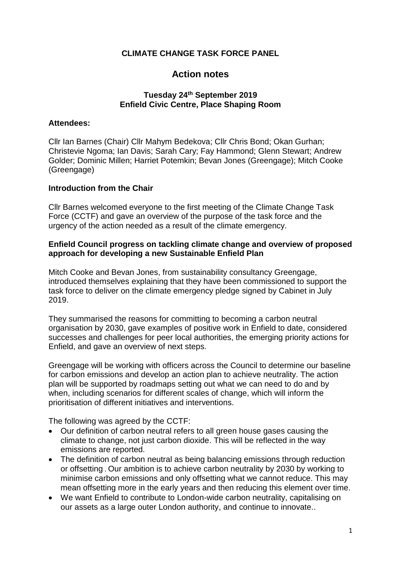### **CLIMATE CHANGE TASK FORCE PANEL**

# **Action notes**

### **Tuesday 24th September 2019 Enfield Civic Centre, Place Shaping Room**

### **Attendees:**

Cllr Ian Barnes (Chair) Cllr Mahym Bedekova; Cllr Chris Bond; Okan Gurhan; Christevie Ngoma; Ian Davis; Sarah Cary; Fay Hammond; Glenn Stewart; Andrew Golder; Dominic Millen; Harriet Potemkin; Bevan Jones (Greengage); Mitch Cooke (Greengage)

#### **Introduction from the Chair**

Cllr Barnes welcomed everyone to the first meeting of the Climate Change Task Force (CCTF) and gave an overview of the purpose of the task force and the urgency of the action needed as a result of the climate emergency.

### **Enfield Council progress on tackling climate change and overview of proposed approach for developing a new Sustainable Enfield Plan**

Mitch Cooke and Bevan Jones, from sustainability consultancy Greengage, introduced themselves explaining that they have been commissioned to support the task force to deliver on the climate emergency pledge signed by Cabinet in July 2019.

They summarised the reasons for committing to becoming a carbon neutral organisation by 2030, gave examples of positive work in Enfield to date, considered successes and challenges for peer local authorities, the emerging priority actions for Enfield, and gave an overview of next steps.

Greengage will be working with officers across the Council to determine our baseline for carbon emissions and develop an action plan to achieve neutrality. The action plan will be supported by roadmaps setting out what we can need to do and by when, including scenarios for different scales of change, which will inform the prioritisation of different initiatives and interventions.

The following was agreed by the CCTF:

- Our definition of carbon neutral refers to all green house gases causing the climate to change, not just carbon dioxide. This will be reflected in the way emissions are reported.
- The definition of carbon neutral as being balancing emissions through reduction or offsetting . Our ambition is to achieve carbon neutrality by 2030 by working to minimise carbon emissions and only offsetting what we cannot reduce. This may mean offsetting more in the early years and then reducing this element over time.
- We want Enfield to contribute to London-wide carbon neutrality, capitalising on our assets as a large outer London authority, and continue to innovate..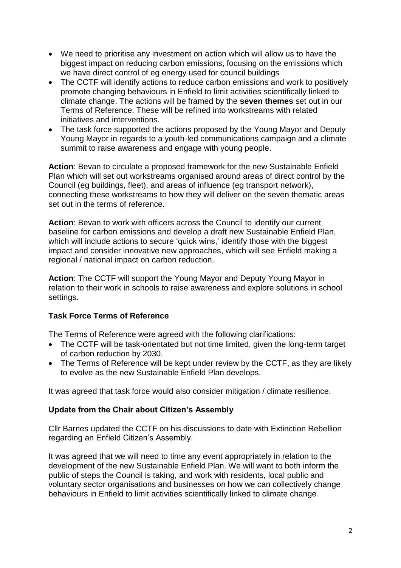- We need to prioritise any investment on action which will allow us to have the biggest impact on reducing carbon emissions, focusing on the emissions which we have direct control of eg energy used for council buildings
- The CCTF will identify actions to reduce carbon emissions and work to positively promote changing behaviours in Enfield to limit activities scientifically linked to climate change. The actions will be framed by the **seven themes** set out in our Terms of Reference. These will be refined into workstreams with related initiatives and interventions.
- The task force supported the actions proposed by the Young Mayor and Deputy Young Mayor in regards to a youth-led communications campaign and a climate summit to raise awareness and engage with young people.

**Action**: Bevan to circulate a proposed framework for the new Sustainable Enfield Plan which will set out workstreams organised around areas of direct control by the Council (eg buildings, fleet), and areas of influence (eg transport network), connecting these workstreams to how they will deliver on the seven thematic areas set out in the terms of reference.

**Action**: Bevan to work with officers across the Council to identify our current baseline for carbon emissions and develop a draft new Sustainable Enfield Plan, which will include actions to secure 'quick wins,' identify those with the biggest impact and consider innovative new approaches, which will see Enfield making a regional / national impact on carbon reduction.

**Action**: The CCTF will support the Young Mayor and Deputy Young Mayor in relation to their work in schools to raise awareness and explore solutions in school settings.

# **Task Force Terms of Reference**

The Terms of Reference were agreed with the following clarifications:

- The CCTF will be task-orientated but not time limited, given the long-term target of carbon reduction by 2030.
- The Terms of Reference will be kept under review by the CCTF, as they are likely to evolve as the new Sustainable Enfield Plan develops.

It was agreed that task force would also consider mitigation / climate resilience.

## **Update from the Chair about Citizen's Assembly**

Cllr Barnes updated the CCTF on his discussions to date with Extinction Rebellion regarding an Enfield Citizen's Assembly.

It was agreed that we will need to time any event appropriately in relation to the development of the new Sustainable Enfield Plan. We will want to both inform the public of steps the Council is taking, and work with residents, local public and voluntary sector organisations and businesses on how we can collectively change behaviours in Enfield to limit activities scientifically linked to climate change.